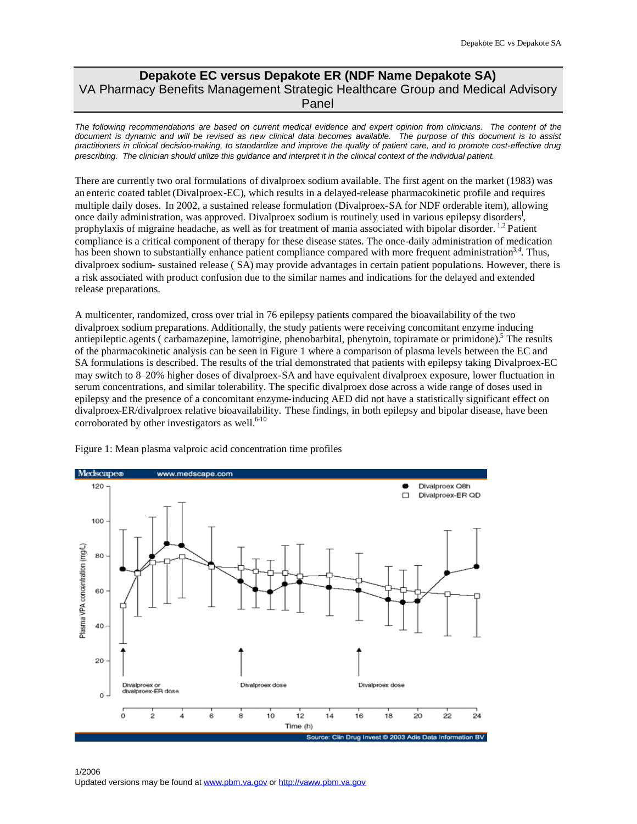## **Depakote EC versus Depakote ER (NDF Name Depakote SA)**  VA Pharmacy Benefits Management Strategic Healthcare Group and Medical Advisory Panel

*The following recommendations are based on current medical evidence and expert opinion from clinicians. The content of the document is dynamic and will be revised as new clinical data becomes available. The purpose of this document is to assist practitioners in clinical decision-making, to standardize and improve the quality of patient care, and to promote cost-effective drug prescribing. The clinician should utilize this guidance and interpret it in the clinical context of the individual patient.* 

There are currently two oral formulations of divalproex sodium available. The first agent on the market (1983) was an enteric coated tablet (Divalproex-EC), which results in a delayed-release pharmacokinetic profile and requires multiple daily doses. In 2002, a sustained release formulation (Divalproex-SA for NDF orderable item), allowing once daily administration, was approved. Divalproex sodium is routinely used in various epilepsy disorders<sup>1</sup>, prophylaxis of migraine headache, as well as for treatment of mania associated with bipolar disorder. [1](#page-2-0),[2](#page-2-0) Patient compliance is a critical component of therapy for these disease states. The once-daily administration of medication has been shown to substantially enhance patient compliance compared with more frequent administration<sup>3,[4](#page-2-0)</sup>. Thus, divalproex sodium- sustained release ( SA) may provide advantages in certain patient populations. However, there is a risk associated with product confusion due to the similar names and indications for the delayed and extended release preparations.

A multicenter, randomized, cross over trial in 76 epilepsy patients compared the bioavailability of the two divalproex sodium preparations. Additionally, the study patients were receiving concomitant enzyme inducing antiepileptic agents ( carbamazepine, lamotrigine, phenobarbital, phenytoin, topiramate or primidone).<sup>5</sup> The results of the pharmacokinetic analysis can be seen in Figure 1 where a comparison of plasma levels between the EC and SA formulations is described. The results of the trial demonstrated that patients with epilepsy taking Divalproex-EC may switch to 8–20% higher doses of divalproex-SA and have equivalent divalproex exposure, lower fluctuation in serum concentrations, and similar tolerability. The specific divalproex dose across a wide range of doses used in epilepsy and the presence of a concomitant enzyme-inducing AED did not have a statistically significant effect on divalproex-ER/divalproex relative bioavailability. These findings, in both epilepsy and bipolar disease, have been corroborated by other investigators as well. $6-10$  $6-10$ 



Figure 1: Mean plasma valproic acid concentration time profiles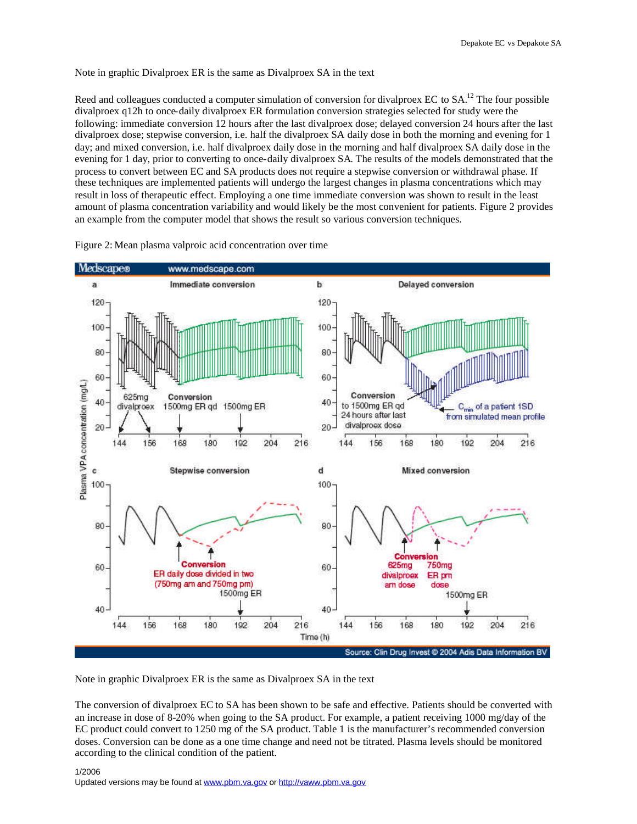## Note in graphic Divalproex ER is the same as Divalproex SA in the text

Reed and colleagues conducted a computer simulation of conversion for divalproex EC to SA.<sup>12</sup> The four possible divalproex q12h to once-daily divalproex ER formulation conversion strategies selected for study were the following: immediate conversion 12 hours after the last divalproex dose; delayed conversion 24 hours after the last divalproex dose; stepwise conversion, i.e. half the divalproex SA daily dose in both the morning and evening for 1 day; and mixed conversion, i.e. half divalproex daily dose in the morning and half divalproex SA daily dose in the evening for 1 day, prior to converting to once-daily divalproex SA. The results of the models demonstrated that the process to convert between EC and SA products does not require a stepwise conversion or withdrawal phase. If these techniques are implemented patients will undergo the largest changes in plasma concentrations which may result in loss of therapeutic effect. Employing a one time immediate conversion was shown to result in the least amount of plasma concentration variability and would likely be the most convenient for patients. Figure 2 provides an example from the computer model that shows the result so various conversion techniques.



Figure 2: Mean plasma valproic acid concentration over time

Note in graphic Divalproex ER is the same as Divalproex SA in the text

The conversion of divalproex EC to SA has been shown to be safe and effective. Patients should be converted with an increase in dose of 8-20% when going to the SA product. For example, a patient receiving 1000 mg/day of the EC product could convert to 1250 mg of the SA product. Table 1 is the manufacturer's recommended conversion doses. Conversion can be done as a one time change and need not be titrated. Plasma levels should be monitored according to the clinical condition of the patient.